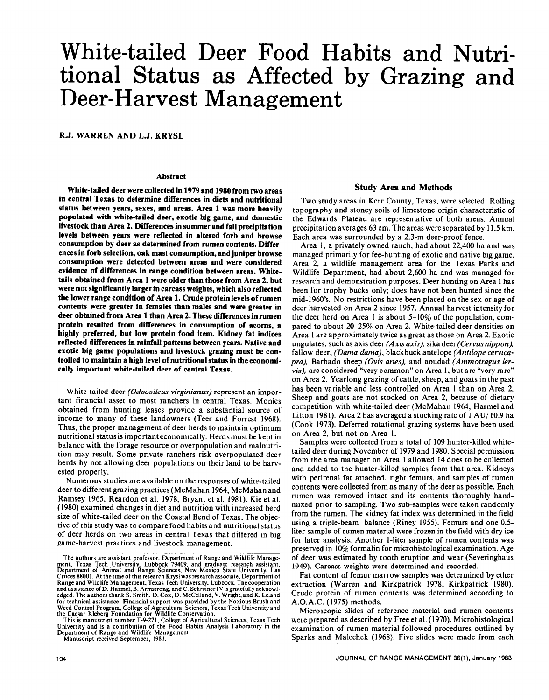# White-tailed Deer Food Habits and Nutritional Status as Affected by Grazing and Deer-Harvest Management

R.J. WARREN AND L.J. KRYSL

#### **Abstract**

**White-tailed deer were collected in 1979 and 1980from two areas in central** Texas **to determine differences in diets and nutritional status between years, sexes, and areas. Area 1 was more heavily populated with white-tailed deer, exotic big game, and domestic livestock than Area 2. Differences in summer and fall precipitation levels between years were reflected in altered forb and browse consumption by deer as determined from rumen contents. Differences in forb selection, oak mast consumption, and juniper browse consumption were detected between areas and were considered evidence of differences in range condition between areas. Whitetails obtained from Area 1 were older than those from Area 2, but were not significantly larger in carcass weights, which also reflected the lower range condition of Area 1. Crude protein levels of rumen contents were greater in females than males and were greater in deer obtained from Area 1 than Area 2. These differences in rumen protein resulted from differences in consumption of acorns, a highly preferred, but low protein food item. Kidney fat indices reflected differences in rainfall patterns between years. Native and exotic big game populations and livestock grazing must be controlled to maintain a high level of nutritional status in the economically important white-tailed deer of central Texas.** 

White-tailed deer *(Odocoileus virginianus)* represent an important financial asset to most ranchers in central Texas. Monies obtained from hunting leases provide a substantial source of income to many of these landowners (Teer and Forrest 1968). Thus, the proper management of deer herds to maintain optimum nutritional status is important economically. Herds must be kept in balance with the forage resource or overpopulation and malnutrition may result. Some private ranchers risk overpopulated deer herds by not allowing deer populations on their land to be harvested properly.

Numerous studies are available on the responses of white-tailed deer to different grazing practices (McMahan 1964, McMahanand Ramsey 1965, Reardon et al. 1978, Bryant et al. 1981). Kie et al. (1980) examined changes in diet and nutrition with increased herd size of white-tailed deer on the Coastal Bend of Texas. The objective of this study was to compare food habits and nutritional status of deer herds on two areas in central Texas that differed in big game-harvest practices and livestock management.

## **Study Area and Methods**

Two study areas in Kerr County, Texas, were selected. Rolling topography and stoney soils of limestone origin characteristic of the Edwards Plateau are representative of both areas. Annual precipitation averages 63 cm. The areas were separated by 11.5 km. Each area was surrounded by a 2.3-m deer-proof fence.

Area 1, a privately owned ranch, had about 22,400 ha and was managed primarily for fee-hunting of exotic and native big game. Area 2, a wildlife management area for the Texas Parks and Wildlife Department, had about 2,600 ha and was managed for research and demonstration purposes. Deer hunting on Area 1 has been for trophy bucks only; does have not been hunted since the mid-l 960's. No restrictions have been placed on the sex or age of deer harvested on Area 2 since 1957. Annual harvest intensity for the deer herd on Area I is about  $5-10\%$  of the population, compared to about 20-25% on Area 2. White-tailed deer densities on Area 1 are approximately twice as great as those on Area 2. Exotic ungulates, such as axis deer *(Axis axis),* sika deer *(Cervus nippon),*  fallow deer, *(Dama dama),* blackbuck antelope *(Antilope cervicupra),* Barbado sheep *(Ovis aries).* and aoudad *(Ammotragus lervia*), are considered "very common" on Area 1, but are "very rare" on Area 2. Yearlong grazing of cattle, sheep, and goats in the past has been variable and less controlled on Area I than on Area 2. Sheep and goats are not stocked on Area 2, because of dietary competition with white-tailed deer (McMahan 1964, Harmel and Litton 1981). Area 2 has averaged a stocking rate of 1 AU/ 10.9 ha (Cook 1973). Deferred rotational grazing systems have been used on Area 2, but not on Area I.

Samples were collected from a total of 109 hunter-killed whitetailed deer during November of 1979 and 1980. Special permission from the area manager on Area 1 allowed 14 does to be collected and added to the hunter-killed samples from that area. Kidneys with perirenal fat attached, right femurs, and samples of rumen contents were collected from as many of the deer as possible. Each rumen was removed intact and its contents thoroughly handmixed prior to sampling. Two sub-samples were taken randomly from the rumen. The kidney fat index was determined in the field using a triple-beam balance (Riney 1955). Femurs and one 0.5 liter sample of rumen material were frozen in the field with dry ice for later analysis. Another l-liter sample of rumen contents was preserved in 10% formalin for microhistological examination. Age of deer was estimated by tooth eruption and wear (Severinghaus 1949). Carcass weights were determined and recorded.

Fat content of femur marrow samples was determined by ether extraction (Warren and Kirkpatrick 1978, Kirkpatrick 1980). Crude protein of rumen contents was determined according to A.O.A.C. (1975) methods.

Microscopic slides of reference material and rumen contents were prepared as described by Free et al. (1970). Microhistological examination of rumen material followed procedures outlined by Sparks and Malechek (1968). Five slides were made from each

The authors are assistant professor, Department of Range and Wildlife Management, Texas Tech University, Lubbock 79409, and graduate research assistant,<br>Department of Animal and Range Sciences, New Mexico State University, Range and Wildlife Management, Texas Tech University, Lubbock. The cooperation<br>and assistance of D. Harmel, B. Armstrong, and C. Schreiner IV is gratefully acknowl**edged. The authors thank S. Smith, D. Cox, D. McCelland, V. Wright,,and K. Leland**  for technical assistance. Financial support was provided by the Noxious Brush and<br>Weed Control Program, College of Agricultural Sciences, Texas Tech University and<br>the Caesar Kleberg Foundation for Wildlife Conservation.

**This is manuscript number T-9-271. College of Agricultural Sciences, Texas Tech University and is a contribution of the** Food Habits Analysis Laboratory in the Department of Range and Wildlife Management. Manuscript received September, 198 I.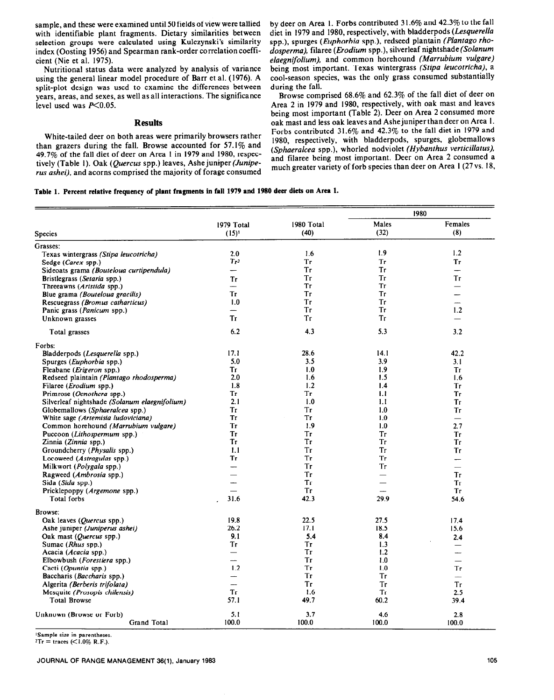sample, and these were examined until 50 fields of view were tallied with identifiable plant fragments. Dietary similarities between selection groups were calculated using Kulczynski's similarity index (Oosting 1956) and Spearman rank-order correlation coefficient (Nie et al. 1975).

Nutritional status data were analyzed by analysis of variance using the general linear model procedure of Barr et al. (1976). A split-plot design was used to examine the differences between years, areas, and sexes, as well as all interactions. The significance level used was  $P<0.05$ .

#### **Results**

White-tailed deer on both areas were primarily browsers rather than grazers during the fall. Browse accounted for 57.1% and 49.7% of the fall diet of deer on Area 1 in 1979 and 1980, respectively (Table 1). Oak (Quercus spp.) leaves, Ashe juniper *(Juniperus ashei),* and acorns comprised the majority of forage consumed by deer on Area 1. Forbs contributed 31.6% and 42.3% to the fall diet in 1979 and 1980, respectively, with bladderpods *(Lesquerellu*  spp.), spurges *(Euphorbiu* spp.), redseed plantain *(Pluntugo rho*dosperma), filaree (Erodium spp.), silverleaf nightshade (Solanum *eluegnifolium),* and common horehound *(Marrubium vulgure)*  being most important. Texas wintergrass *(Stipu leucotrichu),* a cool-season species, was the only grass consumed substantially during the fall.

Browse comprised 68.6% and 62.3% of the fall diet of deer on Area 2 in 1979 and 1980, respectively, with oak mast and leaves being most important (Table 2). Deer on Area 2 consumed more oak mast and less oak leaves and Ashe juniper than deer on Area I. Forbs contributed 31.6% and 42.3% to the fall diet in 1979 and 1980, respectively, with bladderpods, spurges, globemallows *(Sphuerulceu* spp.), whorled nodviolet *(Hybanthus verticillutus).*  and filaree being most important. Deer on Area 2 consumed a much greater variety of forb species than deer on Area 1 (27 vs. 18,

# **Table 1. Percent relative frequency of plant fragments in fall 1979 and 1980 deer diets on Area 1.**

|                                                                            |                          |            |            | 1980                     |
|----------------------------------------------------------------------------|--------------------------|------------|------------|--------------------------|
|                                                                            | 1979 Total               | 1980 Total | Males      | Females                  |
| <b>Species</b>                                                             | $(15)^{1}$               | (40)       | (32)       | (8)                      |
| Grasses:                                                                   |                          |            |            |                          |
| Texas wintergrass (Stipa leucotricha)                                      | 2.0                      | 1.6        | 1.9        | 1.2                      |
| Sedge (Carex spp.)                                                         | Tr <sub>2</sub>          | <b>Tr</b>  | <b>Tr</b>  | <b>Tr</b>                |
| Sideoats grama (Bouteloua curtipendula)                                    |                          | Tr         | Tr         | $\overline{\phantom{0}}$ |
| Bristlegrass (Setaria spp.)                                                | Tr                       | <b>Tr</b>  | Tr         | Tr                       |
| Threeawns (Aristida spp.)                                                  |                          | Tг         | <b>Tr</b>  | $\overline{\phantom{0}}$ |
| Blue grama <i>(Bouteloua gracilis)</i>                                     | Tr                       | Tг         | Tr         |                          |
| Rescuegrass (Bromus catharticus)                                           | 1.0                      | Tr         | Tr         |                          |
| Panic grass (Panicum spp.)                                                 |                          | Tr         | Tr         | 1.2                      |
| Unknown grasses                                                            | Tг                       | Tr         | Tr         |                          |
| Total grasses                                                              | 6.2                      | 4.3        | 5.3        | 3.2                      |
| Forbs:                                                                     |                          |            |            |                          |
| Bladderpods (Lesquerella spp.)                                             | 17.1                     | 28.6       | 14.1       | 42.2                     |
| Spurges ( <i>Euphorbia</i> spp.)                                           | 5.0                      | 3.5        | 3.9        | 3.1                      |
| Fleabane ( <i>Erigeron</i> spp.)                                           | Тr                       | 1.0        | 1.9        | <b>Tr</b>                |
| Redseed plaintain (Plantago rhodosperma)                                   | 2.0                      | 1.6        | 1.5        | 1.6                      |
|                                                                            | 1.8                      | 1.2        | 1.4        | Tr                       |
| Filaree ( <i>Erodium</i> spp.)                                             | Tr                       | Tr         | 1.1        | Tr                       |
| Primrose (Oenothera spp.)<br>Silverleaf nightshade (Solanum elaegnifolium) | 2.1                      | 1.0        | 1.1        | Tr                       |
|                                                                            |                          |            |            |                          |
| Globemallows (Sphaeralcea spp.)                                            | Tr<br>Tг                 | Tr<br>Tг   | 1.0<br>1.0 | Tr                       |
| White sage (Artemisia ludoviciana)                                         | Tr                       | 1.9        | 1.0        | $\qquad \qquad$<br>2.7   |
| Common horehound (Marrubium vulgare)                                       | Tr                       | Тr         |            |                          |
| Puccoon (Lithospermum spp.)                                                | Tг                       | Tг         | Тr<br>Tr   | Tr                       |
| Zinnia (Zinnia spp.)                                                       |                          |            | Tr         | Tr                       |
| Groundcherry ( <i>Physalis</i> spp.)                                       | 1.1                      | Tг         |            | Tr                       |
| Locoweed (Astragulas spp.)                                                 | Tг                       | Tг         | Tr         | $\overline{\phantom{0}}$ |
| Milkwort ( <i>Polygala</i> spp.)                                           |                          | Tr         | Tr         |                          |
| Ragweed (Ambrosia spp.)                                                    |                          | Tr         |            | Tг                       |
| Sida (Sida spp.)                                                           | للمسد                    | Тr         |            | Tг                       |
| Pricklepoppy ( <i>Argemone</i> spp.)                                       |                          | Tr         |            | <b>Tr</b>                |
| Total forbs                                                                | 31.6                     | 42.3       | 29.9       | 54.6                     |
| Browse:                                                                    |                          |            |            |                          |
| Oak leaves ( <i>Quercus</i> spp.)                                          | 19.8                     | 22.5       | 27.5       | 17.4                     |
| Ashe juniper (Juniperus ashei)                                             | 26.2                     | 17.1       | 18.5       | 15.6                     |
| Oak mast (Quercus spp.)                                                    | 9.1                      | 5.4        | 8.4        | 2.4                      |
| Sumac (Rhus spp.)                                                          | Tr                       | Tг         | 1.3        |                          |
| Acacia (Acacia spp.)                                                       | $\overline{\phantom{0}}$ | Tr         | 1.2        | -                        |
| Elbowbush (Forestiera spp.)                                                |                          | Tr         | 1.0        | $\overline{\phantom{0}}$ |
| Cacti (Opuntia spp.)                                                       | 1.2                      | Тr         | 1.0        | Tr                       |
| Baccharis ( <i>Baccharis</i> spp.)                                         | $\overline{\phantom{a}}$ | Tг         | Tг         | $\frac{1}{2}$            |
| Algerita (Berberis trifolata)                                              | ——                       | <b>Tr</b>  | Tr         | Tr                       |
| Mesquite (Prosopis chilensis)                                              | Tr                       | 1.6        | Tr         | 2.5                      |
| <b>Total Browse</b>                                                        | 57.1                     | 49.7       | 60.2       | 39.4                     |
| Unknown (Browse or Forb)                                                   | 5.1                      | 3.7        | 4.6        | 2.8                      |
| <b>Grand Total</b>                                                         | 100.0                    | 100.0      | 100.0      | 100.0                    |
|                                                                            |                          |            |            |                          |

'Sample size in parentheses

 $2T_r = \text{traces}$  (<1.0% R.F.).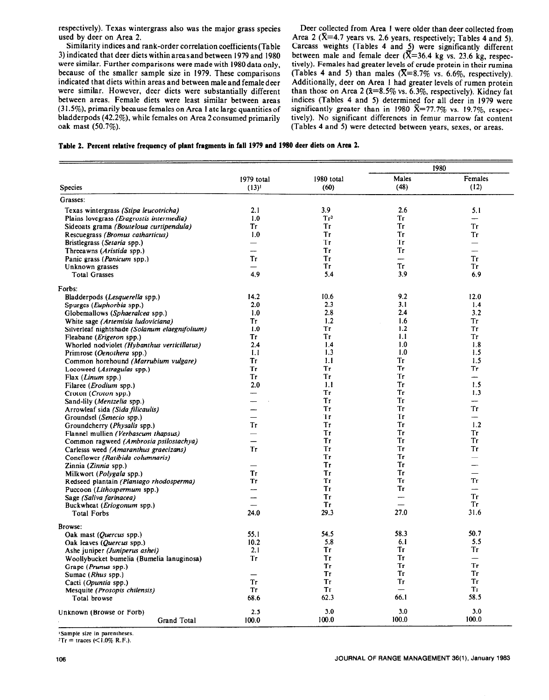respectively). Texas wintergrass also was the major grass species used by deer on Area 2.

Similarity indices and rank-order correlation coefficients(Table 3) indicated that deer diets withinareasand between 1979 and 1980 were similar. Further comparisons were made with 1980 data only, because of the smaller sample size in 1979. These comparisons indicated that diets within areas and between maleand femaledeer were similar. However, deer diets were substantially different between areas. Female diets were least similar between areas (3 I .5%), primarily because females on Area I ate large quantities of bladderpods (42.2%). while females on Area 2consumed primarily oak mast (50.7%).

Deer collected from Area I were older than deer collected from Area 2 ( $\bar{X}$ =4.7 years vs. 2.6 years, respectively; Tables 4 and 5). Carcass weights (Tables 4 and 5) were significantly different between male and female deer  $({\overline{X}}=36.4 \text{ kg} \text{ vs. } 23.6 \text{ kg}$ , respectively). Females had greater levels of crude protein in their rumina (Tables 4 and 5) than males  $(\overline{X}=8.7\% \text{ vs. } 6.6\%$ , respectively). Additionally, deer on Area I had greater levels of rumen protein than those on Area 2 ( $\bar{x}=8.5\%$  vs. 6.3%, respectively). Kidney fat indices (Tables 4 and 5) determined for all deer in 1979 were significantly greater than in 1980  $\bar{X}$ =77.7% vs. 19.7%, respectively). No significant differences in femur marrow fat content (Tables 4 and 5) were detected between years, sexes, or areas.

|  | Table 2. Percent relative frequency of plant fragments in fall 1979 and 1980 deer diets on Area 2. |  |  |  |  |  |  |  |  |
|--|----------------------------------------------------------------------------------------------------|--|--|--|--|--|--|--|--|
|--|----------------------------------------------------------------------------------------------------|--|--|--|--|--|--|--|--|

|                                               |                          |                 |                          | 1980                     |  |
|-----------------------------------------------|--------------------------|-----------------|--------------------------|--------------------------|--|
|                                               | 1979 total               | 1980 total      | Males                    | Females                  |  |
| <b>Species</b>                                | $(13)^{1}$               | (60)            | (48)                     | (12)                     |  |
| Grasses:                                      |                          |                 |                          |                          |  |
| Texas wintergrass (Stipa leucotricha)         | 2.1                      | 3.9             | 2.6                      | 5.1                      |  |
| Plains lovegrass (Eragrostis intermedia)      | 1.0                      | Tr <sup>2</sup> | <b>Tr</b>                | $\sim$                   |  |
| Sideoats grama (Bouteloua curtipendula)       | Tг                       | Tг              | Tr                       | Tr                       |  |
| Rescuegrass (Bromus catharticus)              | 1.0                      | Tг              | Тr                       | Tг                       |  |
| Bristlegrass (Setaria spp.)                   | $\overline{\phantom{0}}$ | Tr              | Tr                       | $\overline{\phantom{0}}$ |  |
| Threeawns (Aristida spp.)                     |                          | Tг              | <b>Tr</b>                |                          |  |
| Panic grass ( <i>Panicum</i> spp.)            | Tr                       | Tr              | $\overline{\phantom{0}}$ | Tr                       |  |
| Unknown grasses                               |                          | Tг              | Tr                       | Tг                       |  |
| <b>Total Grasses</b>                          | 4.9                      | 5.4             | 3.9                      | 6.9                      |  |
| Forbs:                                        |                          |                 |                          |                          |  |
| Bladderpods (Lesquerella spp.)                | 14.2                     | 10.6            | 9.2                      | 12.0                     |  |
| Spurges (Euphorbia spp.)                      | 2.0                      | 2.3             | 3.1                      | 1.4                      |  |
| Globemallows (Sphaeralcea spp.)               | 1.0                      | 2.8             | 2.4                      | 3.2                      |  |
| White sage (Artemisia ludoviciana)            | Tг                       | 1.2             | 1.6                      | Tr                       |  |
| Silverleaf nightshade (Solanum elaegnifolium) | 1.0                      | Тr              | 1.2                      | Tr                       |  |
|                                               | Тr                       | Tг              | 1.1                      | Tr                       |  |
| Fleabane ( <i>Erigeron</i> spp.)              | 2.4                      | 1.4             | 1.0                      | 1.8                      |  |
| Whorled nodviolet (Hybanthus verticillatus)   | 1.1                      | 1.3             | 1.0                      | 1.5                      |  |
| Primrose (Oenothera spp.)                     |                          |                 |                          |                          |  |
| Common horehound (Marrubium vulgare)          | Tr                       | 1.1             | Tr<br>Tr                 | 1.5                      |  |
| Locoweed (Astragulas spp.)                    | Tг                       | Тr              | <b>Tr</b>                | Tr<br>للنسا              |  |
| Flax (Linux sp. )                             | Tr                       | <b>Tr</b>       |                          |                          |  |
| Filaree ( <i>Erodium</i> spp.)                | 2.0                      | 1.1             | Tr                       | 1.5                      |  |
| Croton (Croton spp.)                          |                          | Tr              | Tr                       | 1.3                      |  |
| Sand-lily ( <i>Mentzelia</i> spp.)            | $\overline{\phantom{0}}$ | Tг              | Tr                       |                          |  |
| Arrowleaf sida (Sida filicaulis)              | —                        | Tr              | Tr                       | Tr                       |  |
| Groundsel (Senecio spp.)                      |                          | <b>Tr</b>       | Тr                       | $\overline{\phantom{0}}$ |  |
| Groundcherry ( <i>Physalis</i> spp.)          | Tг                       | Tr              | Tr                       | 1.2                      |  |
| Flannel mullien (Verbascum thapsus)           |                          | Tr              | <b>Tr</b>                | Tr                       |  |
| Common ragweed (Ambrosia psilostachya)        |                          | <b>Tr</b>       | Tr                       | Tr                       |  |
| Carlesss weed (Amaranthus graecizans)         | <b>Tr</b>                | Tг              | Tr                       | Tr                       |  |
| Coneflower (Ratibida columnaris)              | and the                  | Tr              | <b>Tr</b>                | $\overline{\phantom{0}}$ |  |
| Zinnia (Zinnia spp.)                          | and a                    | Тr              | Тr                       | --                       |  |
| Milkwort ( <i>Polygala</i> spp.)              | <b>Tr</b>                | <b>Tr</b>       | Тr                       |                          |  |
| Redseed plantain (Plantago rhodosperma)       | Тr                       | Tr              | Tr                       | Tr                       |  |
| Puccoon (Lithospermum spp.)                   |                          | Tr              | Тr                       |                          |  |
| Sage (Saliva farinacea)                       | $\overline{\phantom{a}}$ | Tr              | $\overline{\phantom{0}}$ | Tr                       |  |
| Buckwheat ( <i>Eriogonum</i> spp.)            |                          | <b>Tr</b>       |                          | Tr                       |  |
| <b>Total Forbs</b>                            | 24.0                     | 29.3            | 27.0                     | 31.6                     |  |
| Browse:                                       |                          |                 |                          |                          |  |
| Oak mast (Quercus spp.)                       | 55.1                     | 54.5            | 58.3                     | 50.7                     |  |
| Oak leaves (Quercus spp.)                     | 10.2                     | 5.8             | 6.1                      | 5.5                      |  |
| Ashe juniper (Juniperus ashei)                | 2.1                      | Tr              | Tг                       | Tr                       |  |
| Woollybucket bumelia (Bumelia lanuginosa)     | Tr                       | Tr              | <b>Tr</b>                | $\overline{\phantom{a}}$ |  |
| Grape (Prunus spp.)                           | $\overline{\phantom{0}}$ | Tr              | <b>Tr</b>                | <b>Tr</b>                |  |
| Sumac (Rhus spp.)                             |                          | Tr              | Tг                       | Tr                       |  |
| Cacti (Opuntia spp.)                          | Tr                       | Tr              | <b>Tr</b>                | Tr                       |  |
| Mesquite (Prosopis chilensis)                 | Tr                       | Тr              | $\overline{\phantom{0}}$ | <b>Tr</b>                |  |
| Total browse                                  | 68.6                     | 62.3            | 66.1                     | 58.5                     |  |
| Unknown (Browse or Forb)                      | 2.5                      | 3.0             | 3.0                      | 3.0                      |  |
| Grand Total                                   | 100.0                    | 100.0           | 100.0                    | 100.0                    |  |
|                                               |                          |                 |                          |                          |  |

**'Sample size in parentheses.** 

 $2Tr = \text{traces } (\leq 1.0\% \text{ R.F.}).$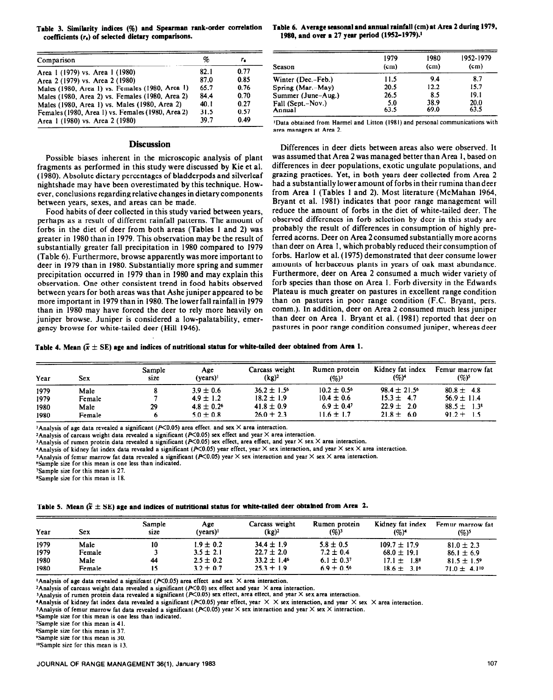coefficients ( $r<sub>s</sub>$ ) of selected dietary comparisons.

| Comparison                                        | %    | г.   |
|---------------------------------------------------|------|------|
| Area 1 (1979) vs. Area 1 (1980)                   | 82.1 | 0.77 |
| Area 2 (1979) vs. Area 2 (1980)                   | 87.0 | 0.85 |
| Males (1980, Area 1) vs. Females (1980, Area 1)   | 65.7 | 0.76 |
| Males (1980, Area 2) vs. Females (1980, Area 2)   | 84.4 | 0.70 |
| Males (1980, Area 1) vs. Males (1980, Area 2)     | 40.1 | 0.27 |
| Females (1980, Area 1) vs. Females (1980, Area 2) | 31.5 | 0.57 |
| Area 1 (1980) vs. Area 2 (1980)                   | 39.7 | 0.49 |

#### **Discussion**

Possible biases inherent in the microscopic analysis of plant fragments as performed in this study were discussed by Kie et al. (1980). Absolute dietary percentages of bladderpods and silverleaf nightshade may have been overestimated by this technique. However, conclusions regarding relative changes in dietary components between years, sexes, and areas can be made.

Food habits of deer collected in this study varied between years, perhaps as a result of different rainfall patterns. The amount of forbs in the diet of deer from both areas (Tables 1 and 2) was greater in 1980 than in 1979. This observation may be the result of substantially greater fall precipitation in 1980 compared to 1979 (Table 6). Furthermore, browse apparently was more important to deer in 1979 than in 1980. Substantially more spring and summer precipitation occurred in I979 than in 1980 and may explain this observation. One other consistent trend in food habits observed between years for both areas was that Ashe juniper appeared to be more important in 1979 than in 1980. The lowerfall rainfall in 1979 than in 1980 may have forced the deer to rely more heavily on juniper browse. Juniper is considered a low-palatability, emergency browse for white-tailed deer (Hill 1946).

Table 3. Similarity indices (%) and Spearman rank-order correlation **Table 6. Average seasonal and annual rainfall (cm) at Area 2 during 1979, <br>coefficients (r.) of selected dietary comparisons. <b>1980, and over a 27 year p** 

| 1952-1979 |
|-----------|
| (cm)      |
| 8.7       |
| 15.7      |
| 19.1      |
| 20.0      |
| 63.5      |
|           |

**'Data obtained from Harmel and Litton (1981) and personal communications with area managers at Area 2.** 

Differences in deer diets between areas also were observed. It was assumed that Area 2 was managed better than Area 1, based on differences in deer populations, exotic ungulate populations, and grazing practices. Yet, in both years deer collected from Area 2 had a substantially lower amount of forbs in their rumina than deer from Area 1 (Tables 1 and 2). Most literature (McMahan 1964, Bryant et al. 1981) indicates that poor range management will reduce the amount of forbs in the diet of white-tailed deer. The observed differences in forb selection by deer in this study are probably the result of differences in consumption of highly preferred acorns. Deer on Area 2consumed substantially more acorns than deer on Area 1, which probably reduced their consumption of forbs. Harlow et al. (1975) demonstrated that deer consume lower amounts of herbaceous plants in years of oak mast abundance. Furthermore, deer on Area 2 consumed a much wider variety of forb species than those on Area 1. Forb diversity in the Edwards Plateau is much greater on pastures in excellent range condition than on pastures in poor range condition (F.C. Bryant, pers. comm.). In addition, deer on Area 2 consumed much less juniper than deer on Area I. Bryant et al. (1981) reported that deer on pastures in poor range condition consumed juniper, whereas deer

Table 4. Mean  $(\bar{x} \pm SE)$  age and indices of nutritional status for white-tailed deer obtained from Area 1.

| Year | <b>Sex</b> | Sample<br>size | Age<br>(vears) <sup>1</sup> | Carcass weight<br>$(kg)^2$ | Rumen protein<br>$(96)^3$ | Kidney fat index<br>$(%)^4$  | Femur marrow fat<br>(%) <sup>s</sup> |  |  |
|------|------------|----------------|-----------------------------|----------------------------|---------------------------|------------------------------|--------------------------------------|--|--|
| 1979 | Male       |                | $3.9 \pm 0.6$               | $36.2 \pm 1.5^{\circ}$     | $10.2 \pm 0.5^{\circ}$    | $98.4 \pm 21.5$ <sup>6</sup> | $80.8 \pm 4.8$                       |  |  |
| 1979 | Female     |                | $4.9 \pm 1.2$               | $18.2 \pm 1.9$             | $10.4 \pm 0.6$            | $15.3 \pm 4.7$               | $56.9 \pm 11.4$                      |  |  |
| 1980 | Male       | 29             | $4.8 \pm 0.2^6$             | $41.8 \pm 0.9$             | $6.9 \pm 0.4$             | $22.9 \pm 2.0$               | $88.5 \pm 1.3^8$                     |  |  |
| 1980 | Female     |                | $5.0 \pm 0.8$               | $26.0 \pm 2.3$             | $11.6 + 1.7$              | $21.8 \pm 6.0$               | $91.2 \pm 1.5$                       |  |  |

<sup>1</sup> Analysis of age data revealed a significant (P<0.05) area effect. and sex  $\times$  area interaction.

<sup>2</sup> Analysis of carcass weight data revealed a significant ( $P<0.05$ ) sex effect and year  $\times$  area interaction.

<sup>3</sup>Analysis of rumen protein data revealed a significant ( $P<0.05$ ) sex effect, area effect, and year  $\times$  sex  $\times$  area interaction.

**'Analysis of kidney fat index data revealed a significant (P<0.05) year effect, year**  $\times$  **sex interaction, and year**  $\times$  **sex**  $\times$  **area interaction.** 

<sup>5</sup> Analysis of femur marrow fat data revealed a significant ( $P<0.05$ ) year  $\times$  sex interaction and year  $\times$  sex  $\times$  area interaction.

**\*Sample size for this mean is one less than indicated.** 

**?Z.ample size for this mean is 27.** 

**USample size for this mean is 18.** 

#### Table 5. Mean  $(\bar{x} \pm SE)$  age and indices of nutritional status for white-tailed deer obtained from Area 2.

| Year | Sex    | Sample<br>size | Age<br>(vears) <sup>1</sup> | Carcass weight<br>$(kg)^2$ | Rumen protein<br>$(96)^3$ | Kidnev fat index<br>$(96)^4$ | Femur marrow fat<br>$(%)^5$  |
|------|--------|----------------|-----------------------------|----------------------------|---------------------------|------------------------------|------------------------------|
| 1979 | Male   | 10             | $1.9 \pm 0.2$               | $34.4 \pm 1.9$             | $5.8 \pm 0.5$             | $109.7 \pm 17.9$             | $81.0 \pm 2.3$               |
| 1979 | Female |                | $3.5 \pm 2.1$               | $22.7 \pm 2.0$             | $7.2 \pm 0.4$             | $68.0 \pm 19.1$              | $86.1 \pm 6.9$               |
| 1980 | Male   | 44             | $2.5 \pm 0.2$               | $33.2 \pm 1.4^{\circ}$     | $6.1 \pm 0.37$            | $17.1 \pm 1.8^8$             | $81.5 \pm 1.5$ <sup>9</sup>  |
| 1980 | Female |                | $3.2 + 0.7$                 | $25.3 + 1.9$               | $6.9 \pm 0.56$            | $18.6 + 3.16$                | $71.0 \pm 4.1$ <sup>10</sup> |

**'Analysis of age data revealed a significant (** $P \le 0.05$ **) area effect and sex**  $\times$  **area interaction.** 

<sup>2</sup>Analysis of carcass weight data revealed a significant ( $P<0.0$ ) sex effect and year  $\times$  area interaction.

I<sub>Analysis</sub> of rumen protein data revealed a significant ( $P<0.05$ ) sex effect, area effect, and year  $\times$  sex area interaction.

**'Analysis of kidney fat index data revealed a significant (P<0.05) year effect, year**  $\times \times$  **x x interaction, and year**  $\times$  **sex**  $\times$  **area interaction.** 

**JAnalysis of femur marrow fat data revealed a significant (** $R<0.05$ **) year**  $\times$  **sex interaction and year**  $\times$  **sex**  $\times$  **interaction.** 

**%ample size for this mean is one less than indicated.** 

**'Sample size for this mean is 4 1.** 

**\*Sample size for this mean is 37.** 

**%ample size for this mean is 30.** 

**<sup>%</sup>ample size for this mean is 13.**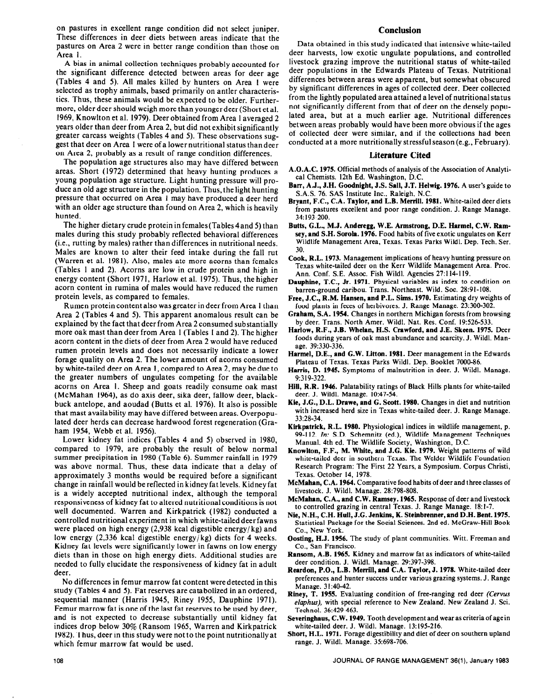on pastures in excellent range condition did not select juniper. These differences in deer diets between areas indicate that the pastures on Area 2 were in better range condition than those on Area 1.

A bias in animal collection techniques probably accounted for the significant difference detected between areas for deer age (Tables 4 and 5). All males killed by hunters on Area I were selected as trophy animals, based primarily on antler characteristics. Thus, these animals would be expected to be older. Furthermore, older deer should weigh more than youngerdeer (Short et al. 1969, Knowlton et al. 1979). Deer obtained from Area 1 averaged 2 years older than deer from Area 2, but did not exhibit significantly greater carcass weights (Tables 4 and 5). These observations suggest that deer on Area 1 were of a lower nutritional status than deer on Area 2, probably as a result of range condition differences.

The population age structures also may have differed between areas. Short (1972) determined that heavy hunting produces a young population age structure. Light hunting pressure will produce an old age structure in the population. Thus, the light hunting pressure that occurred on Area 1 may have produced a deer herd with an older age structure than found on Area 2, which is heavily hunted.

The higher dietary crude protein in females(Tables 4and 5) than males during this study probably reflected behavioral differences (i.e., rutting by males) rather than differences in nutritional needs. Males are known to alter their feed intake during the fall rut (Warren et al. 1981). Also, males ate more acorns than females (Tables 1 and 2). Acorns are low in crude protein and high in energy content (Short 1971, Harlow et al. 1975). Thus, the higher acorn content in rumina of males would have reduced the rumen protein levels, as compared to females.

Rumen protein content also was greater in deer from Area I than Area 2 (Tables 4 and 5). This apparent anomalous result can be explained by the fact that deer from Area 2 consumed substantially more oak mast than deer from Area I (Tables I and 2). The higher acorn content in the diets of deer from Area 2 would have reduced rumen protein levels and does not necessarily indicate a lower forage quality on Area 2. The lower amount of acorns consumed by white-tailed deer on Area 1, compared to Area 2, may be due to the greater numbers of ungulates competing for the available acorns on Area 1. Sheep and goats readily consume oak mast (McMahan 1964), as do axis deer, sika deer, fallow deer, blackbuck antelope, and aoudad (Butts et al. 1976). It also is possible that mast availability may have differed between areas. Overpopulated deer herds can decrease hardwood forest regeneration (Graham 1954, Webb et al. 1956).

Lower kidney fat indices (Tables 4 and 5) observed in 1980, compared to 1979, are probably the result of below normal summer precipitation in 1980 (Table 6). Summer rainfall in 1979 was above normal. Thus, these data indicate that a delay of approximately 3 months would be required before a significant change in rainfall would be reflected in kidney fat levels. Kidney fat is a widely accepted nutritional index, although the temporal responsiveness of kidney fat to altered nutritional conditions is not well documented. Warren and Kirkpatrick (1982) conducted a controlled nutritional experiment in which white-tailed deer fawns were placed on high energy  $(2,938 \text{ kcal}$  digestible energy/kg) and low energy  $(2,336 \text{ kcal}$  digestible energy/kg) diets for 4 weeks. Kidney fat levels were significantly lower in fawns on low energy diets than in those on high energy diets. Additional studies are needed to fully elucidate the responsiveness of kidney fat in adult deer.

No differences in femur marrow fat content weredetected in this study (Tables 4 and 5). Fat reserves are catabolized in an ordered, sequential manner (Harris 1945, Riney 1955, Dauphine 1971). Femur marrow fat is one of the last fat reserves to be used by deer, and is not expected to decrease substantially until kidney fat indices drop below 30% (Ransom 1965, Warren and Kirkpatrick 1982). Thus, deer in this study were notto the point nutritionally at which femur marrow fat **would** be used.

### **Conclusion**

Data obtained in this study indicated that intensive white-tailed deer harvests, low exotic ungulate populations, and controlled livestock grazing improve the nutritional status of white-tailed deer populations in the Edwards Plateau of Texas. Nutritional differences between areas were apparent, but somewhat obscured by significant differences in ages of collected deer. Deer collected from the lightly populated area attained a level of nutritional status not significantly different from that of deer on the densely populated area, but at a much earlier age. Nutritional differences between areas probably would have been more obvious if the ages of collected deer were similar, and if the collections had been conducted at a more nutritionally stressful season (e.g., February).

#### **Literature Cited**

- A.O.A.C. 1975. Official methods of analysis of the Association of Analytical Chemists. 12th Ed. Washington, D.C.
- **Barr, A.J.,** J.H. **Goodnight,** J.S. Snll, J.T. Helwig. 1976. A user's guide to S.A.S. 76. SAS Institute Inc., Raleigh, N.C.
- **Bryant, F.C., C.A. Taylor, and L.B. Merrill. 1981.** White-tailed deer diets from pastures excellent and poor range condition. J. Range Manage. 34: 193-200.
- Butts, G.L., M.J. Anderegg, W.E. Armstrong, D.E. Harmel, C.W. Ram**sey, and S.H. Sorola. 1976.** Food habits of five exotic ungulates on Kerr Wildlife Management Area, Texas. Texas Parks Wildl. Dep. Tech. Ser. 30.
- **Cook, R.L. 1973.** Management implications of heavy hunting pressure on Texas white-tailed deer on the Kerr Wildlife Management Area. Proc. Ann. Conf. SE. Assoc. Fish Wildl. Agencies 27:114-l 19.
- **Dauphine, T.C., Jr. 1971.** Physical variables as index to condition on barren-ground caribou. Trans. Northeast. Wild. Soc. 28:91-108.
- Free, J.C., R.M. Hansen, and P.L. Sims. 1970. Estimating dry weights of food plants in feces of herbivores. J. Range Manage. 23:300-302.
- **Graham, S.A. 1954.** Changes in northern Michigan forests from browsing by deer. Trans. North Amer. Wildl. Nat. Res. Conf. 19:526-533.
- **Harlow, R.F., J.B. Whelan, H.S. Crawford, and J.E. Skeen. 1975.** Deer foods during years of oak mast abundance and scarcity. J. Wildl. Manage. 39:330-336.
- **Harmel, D.E., and G.W. Litton. 1981.** Deer management in the Edwards Plateau of Texas. Texas Parks Wildl. Dep. Booklet 7000-86.
- **Harris, D. 1945.** Symptoms of malnutrition in deer. J. Wildl. Manage. 9:319-322.
- Hill, **R.R. 1946.** Palatability ratings of Black Hills plants for white-tailed deer. J. Wildl. Manage. 10:47-54.
- **Kie, J.G., D.L. Drawe, and G. Scott. 1980.** Changes in diet and nutrition with increased herd size in Texas white-tailed deer. J. Range Manage. 33:28-34.
- **Kirkpatrick, R.L. 1980.** Physiological indices in wildlife management, p. 99-112. *In:* S.D. Schemnitz (ed.), Wildlife Management Techniques Manual. 4th ed. The Wildlife Society, Washington, D.C.
- **Knowlton, F.F., M. White, and J.G. Kie. 1979.** Weight patterns of wild white-tailed deer in southern Texas. The Welder Wildlife Foundation Research Program: The First 22 Years, a Symposium. Corpus Christi, Texas. October 14, 1978.
- **McMahan, C.A. 1964.** Comparative food habits of deer and three classes of livestock. J. Wildl. Manage. 28:798-808.
- **McMahan, C.A., and C.W. Ramsey. 1965.** Response of deer and livestock to controlled grazing in central Texas. J. Range Manage. 18: l-7.
- Nie, N.H., C.H. Hull, J.G. Jenkins, K. Steinbrenner, and D.H. Bent. 1975. Statistical Package for the Social Sciences. 2nd ed. McGraw-Hill Book Co., New York.
- **Oosting, H.J. 1956.** The study of plant communities. Witt. Freeman and Co., San Francisco.
- **Ransom, A.B. 1%5.** Kidney and marrow fat as indicators of white-tailed deer condition. J. Wildl. Manage. 29:397-398.
- **Reardon, P.O., L.B. Merrill, and C.A. Taylor, J. 1978.** White-tailed deer preferences and hunter success under various grazing systems. J. Range Manage. 3 I :40-42.
- **Riney, T. 1955.** Evaluating condition of free-ranging red deer (Cervus elaphus), with special reference to New Zealand. New Zealand J. Sci. Technol. 36:429-463.
- **Severinghaus, C.W. 1949.** Tooth development and wear as criteria of age in white-tailed deer. J. Wildl. Manage. 13:195-216.
- **Short, H.L. 1971.** Forage digestibility and diet of deer on southern upland range. J. Wildl. Manage. 35:698-706.